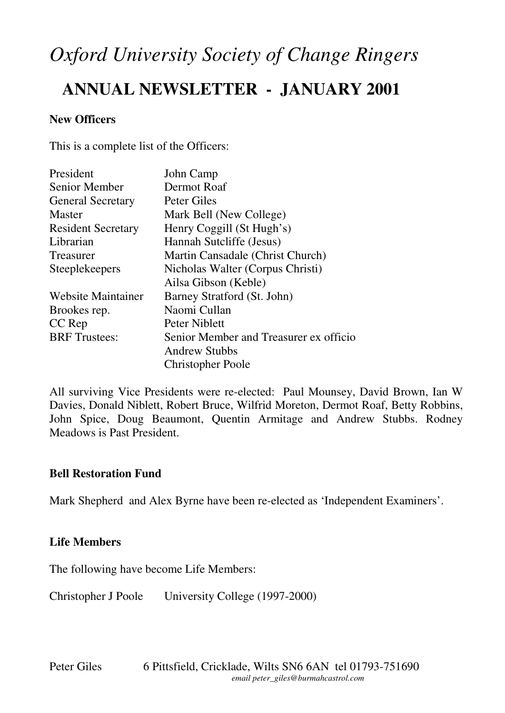# *Oxford University Society of Change Ringers*

# **ANNUAL NEWSLETTER - JANUARY 2001**

### **New Officers**

This is a complete list of the Officers:

| President                 | John Camp                              |
|---------------------------|----------------------------------------|
| Senior Member             | Dermot Roaf                            |
| <b>General Secretary</b>  | Peter Giles                            |
| <b>Master</b>             | Mark Bell (New College)                |
| <b>Resident Secretary</b> | Henry Coggill (St Hugh's)              |
| Librarian                 | Hannah Sutcliffe (Jesus)               |
| Treasurer                 | Martin Cansadale (Christ Church)       |
| <b>Steeplekeepers</b>     | Nicholas Walter (Corpus Christi)       |
|                           | Ailsa Gibson (Keble)                   |
| <b>Website Maintainer</b> | Barney Stratford (St. John)            |
| Brookes rep.              | Naomi Cullan                           |
| CC Rep                    | Peter Niblett                          |
| <b>BRF</b> Trustees:      | Senior Member and Treasurer ex officio |
|                           | <b>Andrew Stubbs</b>                   |
|                           | <b>Christopher Poole</b>               |

All surviving Vice Presidents were re-elected: Paul Mounsey, David Brown, Ian W Davies, Donald Niblett, Robert Bruce, Wilfrid Moreton, Dermot Roaf, Betty Robbins, John Spice, Doug Beaumont, Quentin Armitage and Andrew Stubbs. Rodney Meadows is Past President.

#### **Bell Restoration Fund**

Mark Shepherd and Alex Byrne have been re-elected as 'Independent Examiners'.

# **Life Members**

The following have become Life Members:

Christopher J Poole University College (1997-2000)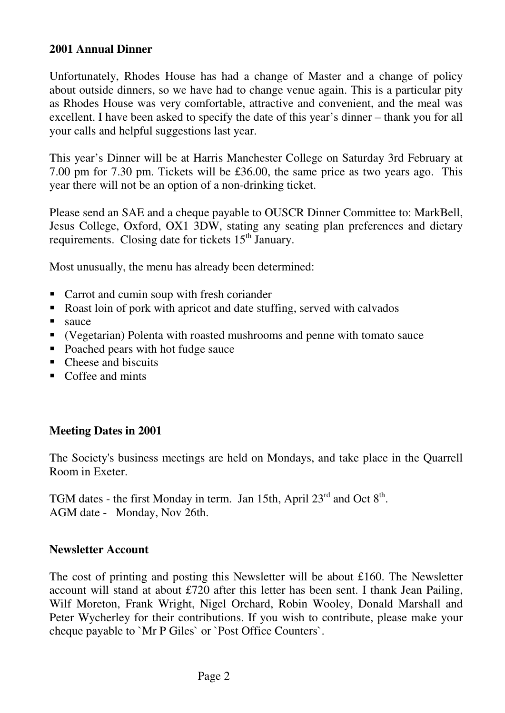#### **2001 Annual Dinner**

Unfortunately, Rhodes House has had a change of Master and a change of policy about outside dinners, so we have had to change venue again. This is a particular pity as Rhodes House was very comfortable, attractive and convenient, and the meal was excellent. I have been asked to specify the date of this year's dinner – thank you for all your calls and helpful suggestions last year.

This year's Dinner will be at Harris Manchester College on Saturday 3rd February at 7.00 pm for 7.30 pm. Tickets will be £36.00, the same price as two years ago. This year there will not be an option of a non-drinking ticket.

Please send an SAE and a cheque payable to OUSCR Dinner Committee to: MarkBell, Jesus College, Oxford, OX1 3DW, stating any seating plan preferences and dietary requirements. Closing date for tickets 15<sup>th</sup> January.

Most unusually, the menu has already been determined:

- Carrot and cumin soup with fresh coriander
- Roast loin of pork with apricot and date stuffing, served with calvados
- sauce
- (Vegetarian) Polenta with roasted mushrooms and penne with tomato sauce
- Poached pears with hot fudge sauce
- Cheese and biscuits
- Coffee and mints

# **Meeting Dates in 2001**

The Society's business meetings are held on Mondays, and take place in the Quarrell Room in Exeter.

TGM dates - the first Monday in term. Jan 15th, April  $23^{rd}$  and Oct  $8^{th}$ . AGM date - Monday, Nov 26th.

#### **Newsletter Account**

The cost of printing and posting this Newsletter will be about £160. The Newsletter account will stand at about £720 after this letter has been sent. I thank Jean Pailing, Wilf Moreton, Frank Wright, Nigel Orchard, Robin Wooley, Donald Marshall and Peter Wycherley for their contributions. If you wish to contribute, please make your cheque payable to `Mr P Giles` or `Post Office Counters`.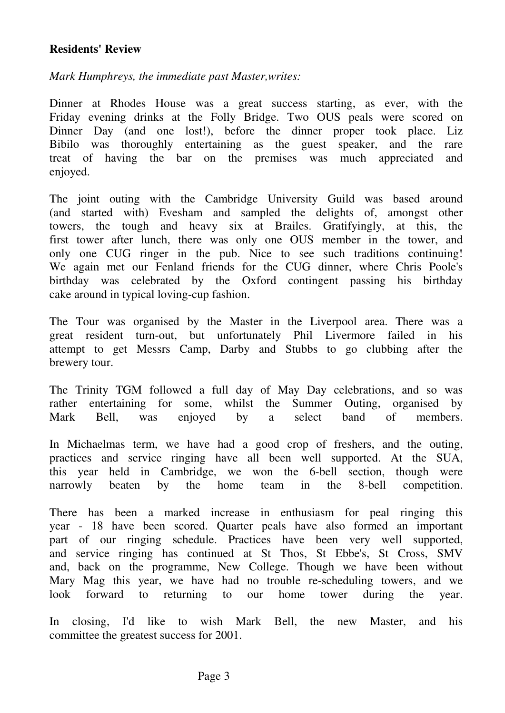#### **Residents' Review**

#### *Mark Humphreys, the immediate past Master,writes:*

Dinner at Rhodes House was a great success starting, as ever, with the Friday evening drinks at the Folly Bridge. Two OUS peals were scored on Dinner Day (and one lost!), before the dinner proper took place. Liz Bibilo was thoroughly entertaining as the guest speaker, and the rare treat of having the bar on the premises was much appreciated and enjoyed.

The joint outing with the Cambridge University Guild was based around (and started with) Evesham and sampled the delights of, amongst other towers, the tough and heavy six at Brailes. Gratifyingly, at this, the first tower after lunch, there was only one OUS member in the tower, and only one CUG ringer in the pub. Nice to see such traditions continuing! We again met our Fenland friends for the CUG dinner, where Chris Poole's birthday was celebrated by the Oxford contingent passing his birthday cake around in typical loving-cup fashion.

The Tour was organised by the Master in the Liverpool area. There was a great resident turn-out, but unfortunately Phil Livermore failed in his attempt to get Messrs Camp, Darby and Stubbs to go clubbing after the brewery tour.

The Trinity TGM followed a full day of May Day celebrations, and so was rather entertaining for some, whilst the Summer Outing, organised by Mark Bell, was enjoyed by a select band of members.

In Michaelmas term, we have had a good crop of freshers, and the outing, practices and service ringing have all been well supported. At the SUA, this year held in Cambridge, we won the 6-bell section, though were narrowly beaten by the home team in the 8-bell competition.

There has been a marked increase in enthusiasm for peal ringing this year - 18 have been scored. Quarter peals have also formed an important part of our ringing schedule. Practices have been very well supported, and service ringing has continued at St Thos, St Ebbe's, St Cross, SMV and, back on the programme, New College. Though we have been without Mary Mag this year, we have had no trouble re-scheduling towers, and we look forward to returning to our home tower during the year.

In closing, I'd like to wish Mark Bell, the new Master, and his committee the greatest success for 2001.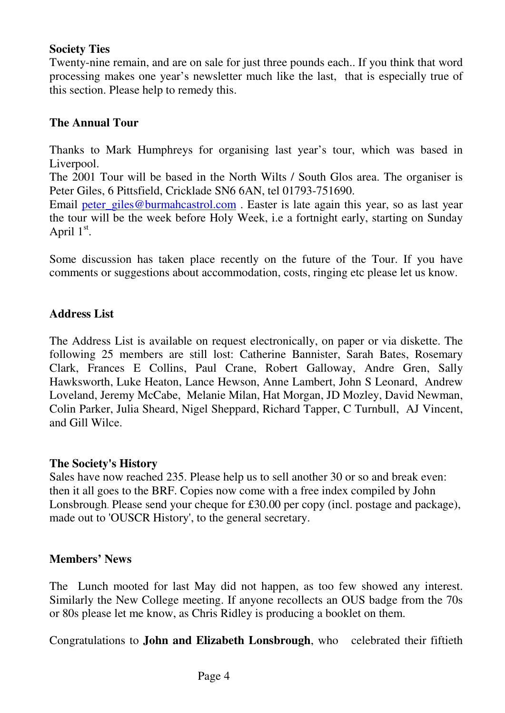## **Society Ties**

Twenty-nine remain, and are on sale for just three pounds each.. If you think that word processing makes one year's newsletter much like the last, that is especially true of this section. Please help to remedy this.

# **The Annual Tour**

Thanks to Mark Humphreys for organising last year's tour, which was based in Liverpool.

The 2001 Tour will be based in the North Wilts / South Glos area. The organiser is Peter Giles, 6 Pittsfield, Cricklade SN6 6AN, tel 01793-751690.

Email peter\_giles@burmahcastrol.com . Easter is late again this year, so as last year the tour will be the week before Holy Week, i.e a fortnight early, starting on Sunday April  $1<sup>st</sup>$ .

Some discussion has taken place recently on the future of the Tour. If you have comments or suggestions about accommodation, costs, ringing etc please let us know.

# **Address List**

The Address List is available on request electronically, on paper or via diskette. The following 25 members are still lost: Catherine Bannister, Sarah Bates, Rosemary Clark, Frances E Collins, Paul Crane, Robert Galloway, Andre Gren, Sally Hawksworth, Luke Heaton, Lance Hewson, Anne Lambert, John S Leonard, Andrew Loveland, Jeremy McCabe, Melanie Milan, Hat Morgan, JD Mozley, David Newman, Colin Parker, Julia Sheard, Nigel Sheppard, Richard Tapper, C Turnbull, AJ Vincent, and Gill Wilce.

#### **The Society's History**

Sales have now reached 235. Please help us to sell another 30 or so and break even: then it all goes to the BRF. Copies now come with a free index compiled by John Lonsbrough. Please send your cheque for £30.00 per copy (incl. postage and package), made out to 'OUSCR History', to the general secretary.

#### **Members' News**

The Lunch mooted for last May did not happen, as too few showed any interest. Similarly the New College meeting. If anyone recollects an OUS badge from the 70s or 80s please let me know, as Chris Ridley is producing a booklet on them.

Congratulations to **John and Elizabeth Lonsbrough**, who celebrated their fiftieth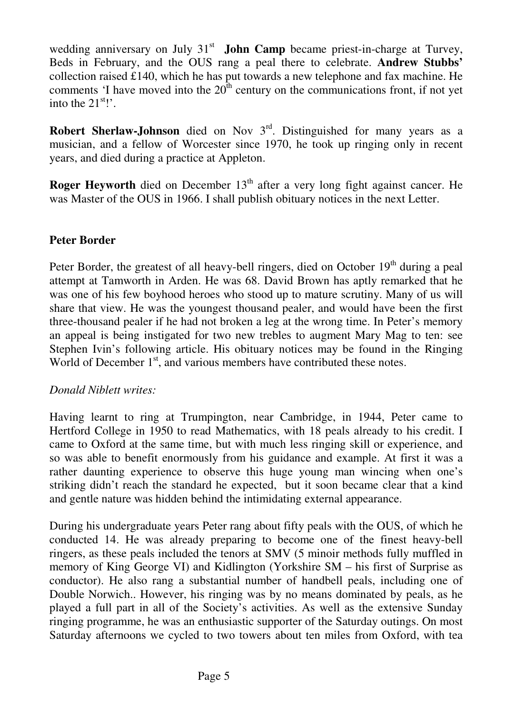wedding anniversary on July 31<sup>st</sup> John Camp became priest-in-charge at Turvey, Beds in February, and the OUS rang a peal there to celebrate. **Andrew Stubbs'** collection raised £140, which he has put towards a new telephone and fax machine. He comments 'I have moved into the  $20<sup>th</sup>$  century on the communications front, if not yet into the  $21^{st}$ !'.

**Robert Sherlaw-Johnson** died on Nov 3<sup>rd</sup>. Distinguished for many years as a musician, and a fellow of Worcester since 1970, he took up ringing only in recent years, and died during a practice at Appleton.

**Roger Heyworth** died on December 13<sup>th</sup> after a very long fight against cancer. He was Master of the OUS in 1966. I shall publish obituary notices in the next Letter.

# **Peter Border**

Peter Border, the greatest of all heavy-bell ringers, died on October  $19<sup>th</sup>$  during a peal attempt at Tamworth in Arden. He was 68. David Brown has aptly remarked that he was one of his few boyhood heroes who stood up to mature scrutiny. Many of us will share that view. He was the youngest thousand pealer, and would have been the first three-thousand pealer if he had not broken a leg at the wrong time. In Peter's memory an appeal is being instigated for two new trebles to augment Mary Mag to ten: see Stephen Ivin's following article. His obituary notices may be found in the Ringing World of December  $1<sup>st</sup>$ , and various members have contributed these notes.

# *Donald Niblett writes:*

Having learnt to ring at Trumpington, near Cambridge, in 1944, Peter came to Hertford College in 1950 to read Mathematics, with 18 peals already to his credit. I came to Oxford at the same time, but with much less ringing skill or experience, and so was able to benefit enormously from his guidance and example. At first it was a rather daunting experience to observe this huge young man wincing when one's striking didn't reach the standard he expected, but it soon became clear that a kind and gentle nature was hidden behind the intimidating external appearance.

During his undergraduate years Peter rang about fifty peals with the OUS, of which he conducted 14. He was already preparing to become one of the finest heavy-bell ringers, as these peals included the tenors at SMV (5 minoir methods fully muffled in memory of King George VI) and Kidlington (Yorkshire SM – his first of Surprise as conductor). He also rang a substantial number of handbell peals, including one of Double Norwich.. However, his ringing was by no means dominated by peals, as he played a full part in all of the Society's activities. As well as the extensive Sunday ringing programme, he was an enthusiastic supporter of the Saturday outings. On most Saturday afternoons we cycled to two towers about ten miles from Oxford, with tea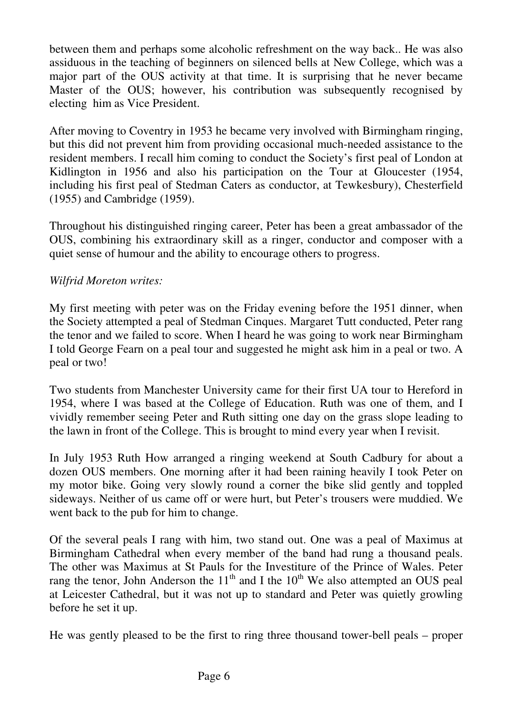between them and perhaps some alcoholic refreshment on the way back.. He was also assiduous in the teaching of beginners on silenced bells at New College, which was a major part of the OUS activity at that time. It is surprising that he never became Master of the OUS; however, his contribution was subsequently recognised by electing him as Vice President.

After moving to Coventry in 1953 he became very involved with Birmingham ringing, but this did not prevent him from providing occasional much-needed assistance to the resident members. I recall him coming to conduct the Society's first peal of London at Kidlington in 1956 and also his participation on the Tour at Gloucester (1954, including his first peal of Stedman Caters as conductor, at Tewkesbury), Chesterfield (1955) and Cambridge (1959).

Throughout his distinguished ringing career, Peter has been a great ambassador of the OUS, combining his extraordinary skill as a ringer, conductor and composer with a quiet sense of humour and the ability to encourage others to progress.

# *Wilfrid Moreton writes:*

My first meeting with peter was on the Friday evening before the 1951 dinner, when the Society attempted a peal of Stedman Cinques. Margaret Tutt conducted, Peter rang the tenor and we failed to score. When I heard he was going to work near Birmingham I told George Fearn on a peal tour and suggested he might ask him in a peal or two. A peal or two!

Two students from Manchester University came for their first UA tour to Hereford in 1954, where I was based at the College of Education. Ruth was one of them, and I vividly remember seeing Peter and Ruth sitting one day on the grass slope leading to the lawn in front of the College. This is brought to mind every year when I revisit.

In July 1953 Ruth How arranged a ringing weekend at South Cadbury for about a dozen OUS members. One morning after it had been raining heavily I took Peter on my motor bike. Going very slowly round a corner the bike slid gently and toppled sideways. Neither of us came off or were hurt, but Peter's trousers were muddied. We went back to the pub for him to change.

Of the several peals I rang with him, two stand out. One was a peal of Maximus at Birmingham Cathedral when every member of the band had rung a thousand peals. The other was Maximus at St Pauls for the Investiture of the Prince of Wales. Peter rang the tenor, John Anderson the  $11<sup>th</sup>$  and I the  $10<sup>th</sup>$  We also attempted an OUS peal at Leicester Cathedral, but it was not up to standard and Peter was quietly growling before he set it up.

He was gently pleased to be the first to ring three thousand tower-bell peals – proper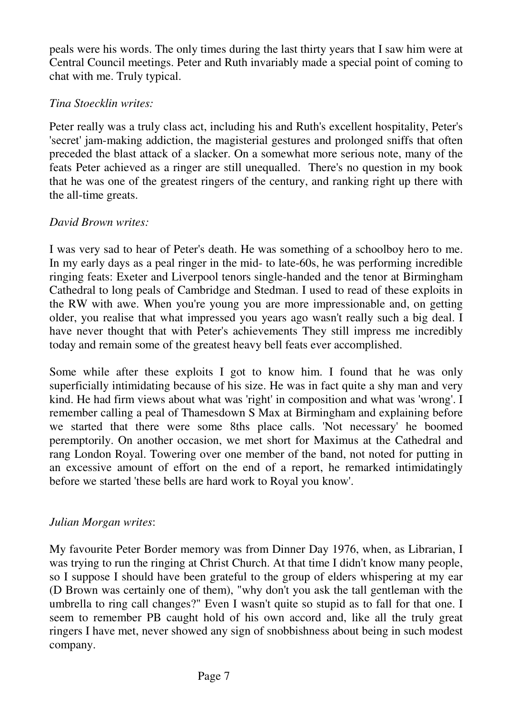peals were his words. The only times during the last thirty years that I saw him were at Central Council meetings. Peter and Ruth invariably made a special point of coming to chat with me. Truly typical.

# *Tina Stoecklin writes:*

Peter really was a truly class act, including his and Ruth's excellent hospitality, Peter's 'secret' jam-making addiction, the magisterial gestures and prolonged sniffs that often preceded the blast attack of a slacker. On a somewhat more serious note, many of the feats Peter achieved as a ringer are still unequalled. There's no question in my book that he was one of the greatest ringers of the century, and ranking right up there with the all-time greats.

# *David Brown writes:*

I was very sad to hear of Peter's death. He was something of a schoolboy hero to me. In my early days as a peal ringer in the mid- to late-60s, he was performing incredible ringing feats: Exeter and Liverpool tenors single-handed and the tenor at Birmingham Cathedral to long peals of Cambridge and Stedman. I used to read of these exploits in the RW with awe. When you're young you are more impressionable and, on getting older, you realise that what impressed you years ago wasn't really such a big deal. I have never thought that with Peter's achievements They still impress me incredibly today and remain some of the greatest heavy bell feats ever accomplished.

Some while after these exploits I got to know him. I found that he was only superficially intimidating because of his size. He was in fact quite a shy man and very kind. He had firm views about what was 'right' in composition and what was 'wrong'. I remember calling a peal of Thamesdown S Max at Birmingham and explaining before we started that there were some 8ths place calls. 'Not necessary' he boomed peremptorily. On another occasion, we met short for Maximus at the Cathedral and rang London Royal. Towering over one member of the band, not noted for putting in an excessive amount of effort on the end of a report, he remarked intimidatingly before we started 'these bells are hard work to Royal you know'.

# *Julian Morgan writes*:

My favourite Peter Border memory was from Dinner Day 1976, when, as Librarian, I was trying to run the ringing at Christ Church. At that time I didn't know many people, so I suppose I should have been grateful to the group of elders whispering at my ear (D Brown was certainly one of them), "why don't you ask the tall gentleman with the umbrella to ring call changes?" Even I wasn't quite so stupid as to fall for that one. I seem to remember PB caught hold of his own accord and, like all the truly great ringers I have met, never showed any sign of snobbishness about being in such modest company.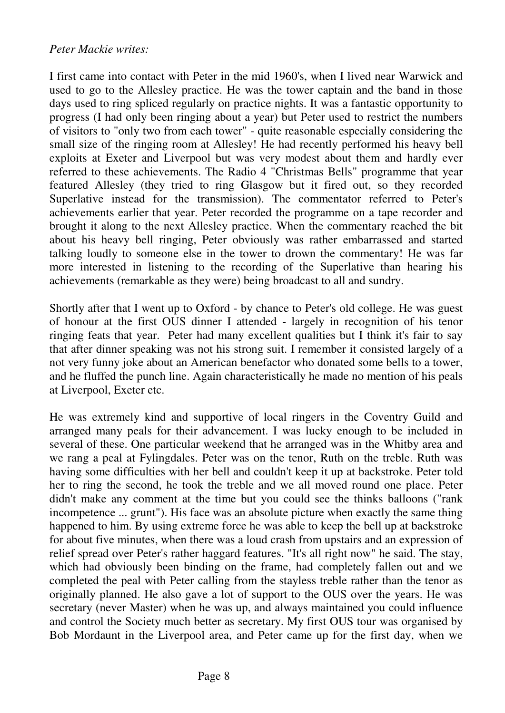#### *Peter Mackie writes:*

I first came into contact with Peter in the mid 1960's, when I lived near Warwick and used to go to the Allesley practice. He was the tower captain and the band in those days used to ring spliced regularly on practice nights. It was a fantastic opportunity to progress (I had only been ringing about a year) but Peter used to restrict the numbers of visitors to "only two from each tower" - quite reasonable especially considering the small size of the ringing room at Allesley! He had recently performed his heavy bell exploits at Exeter and Liverpool but was very modest about them and hardly ever referred to these achievements. The Radio 4 "Christmas Bells" programme that year featured Allesley (they tried to ring Glasgow but it fired out, so they recorded Superlative instead for the transmission). The commentator referred to Peter's achievements earlier that year. Peter recorded the programme on a tape recorder and brought it along to the next Allesley practice. When the commentary reached the bit about his heavy bell ringing, Peter obviously was rather embarrassed and started talking loudly to someone else in the tower to drown the commentary! He was far more interested in listening to the recording of the Superlative than hearing his achievements (remarkable as they were) being broadcast to all and sundry.

Shortly after that I went up to Oxford - by chance to Peter's old college. He was guest of honour at the first OUS dinner I attended - largely in recognition of his tenor ringing feats that year. Peter had many excellent qualities but I think it's fair to say that after dinner speaking was not his strong suit. I remember it consisted largely of a not very funny joke about an American benefactor who donated some bells to a tower, and he fluffed the punch line. Again characteristically he made no mention of his peals at Liverpool, Exeter etc.

He was extremely kind and supportive of local ringers in the Coventry Guild and arranged many peals for their advancement. I was lucky enough to be included in several of these. One particular weekend that he arranged was in the Whitby area and we rang a peal at Fylingdales. Peter was on the tenor, Ruth on the treble. Ruth was having some difficulties with her bell and couldn't keep it up at backstroke. Peter told her to ring the second, he took the treble and we all moved round one place. Peter didn't make any comment at the time but you could see the thinks balloons ("rank incompetence ... grunt"). His face was an absolute picture when exactly the same thing happened to him. By using extreme force he was able to keep the bell up at backstroke for about five minutes, when there was a loud crash from upstairs and an expression of relief spread over Peter's rather haggard features. "It's all right now" he said. The stay, which had obviously been binding on the frame, had completely fallen out and we completed the peal with Peter calling from the stayless treble rather than the tenor as originally planned. He also gave a lot of support to the OUS over the years. He was secretary (never Master) when he was up, and always maintained you could influence and control the Society much better as secretary. My first OUS tour was organised by Bob Mordaunt in the Liverpool area, and Peter came up for the first day, when we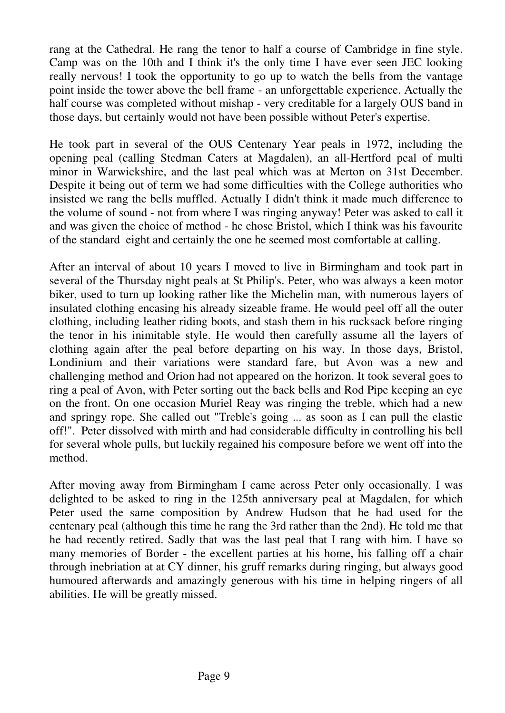rang at the Cathedral. He rang the tenor to half a course of Cambridge in fine style. Camp was on the 10th and I think it's the only time I have ever seen JEC looking really nervous! I took the opportunity to go up to watch the bells from the vantage point inside the tower above the bell frame - an unforgettable experience. Actually the half course was completed without mishap - very creditable for a largely OUS band in those days, but certainly would not have been possible without Peter's expertise.

He took part in several of the OUS Centenary Year peals in 1972, including the opening peal (calling Stedman Caters at Magdalen), an all-Hertford peal of multi minor in Warwickshire, and the last peal which was at Merton on 31st December. Despite it being out of term we had some difficulties with the College authorities who insisted we rang the bells muffled. Actually I didn't think it made much difference to the volume of sound - not from where I was ringing anyway! Peter was asked to call it and was given the choice of method - he chose Bristol, which I think was his favourite of the standard eight and certainly the one he seemed most comfortable at calling.

After an interval of about 10 years I moved to live in Birmingham and took part in several of the Thursday night peals at St Philip's. Peter, who was always a keen motor biker, used to turn up looking rather like the Michelin man, with numerous layers of insulated clothing encasing his already sizeable frame. He would peel off all the outer clothing, including leather riding boots, and stash them in his rucksack before ringing the tenor in his inimitable style. He would then carefully assume all the layers of clothing again after the peal before departing on his way. In those days, Bristol, Londinium and their variations were standard fare, but Avon was a new and challenging method and Orion had not appeared on the horizon. It took several goes to ring a peal of Avon, with Peter sorting out the back bells and Rod Pipe keeping an eye on the front. On one occasion Muriel Reay was ringing the treble, which had a new and springy rope. She called out "Treble's going ... as soon as I can pull the elastic off!". Peter dissolved with mirth and had considerable difficulty in controlling his bell for several whole pulls, but luckily regained his composure before we went off into the method.

After moving away from Birmingham I came across Peter only occasionally. I was delighted to be asked to ring in the 125th anniversary peal at Magdalen, for which Peter used the same composition by Andrew Hudson that he had used for the centenary peal (although this time he rang the 3rd rather than the 2nd). He told me that he had recently retired. Sadly that was the last peal that I rang with him. I have so many memories of Border - the excellent parties at his home, his falling off a chair through inebriation at at CY dinner, his gruff remarks during ringing, but always good humoured afterwards and amazingly generous with his time in helping ringers of all abilities. He will be greatly missed.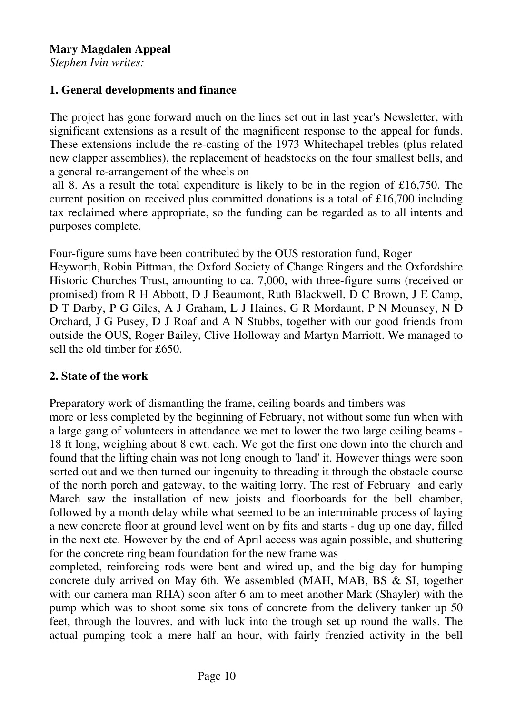*Stephen Ivin writes:* 

## **1. General developments and finance**

The project has gone forward much on the lines set out in last year's Newsletter, with significant extensions as a result of the magnificent response to the appeal for funds. These extensions include the re-casting of the 1973 Whitechapel trebles (plus related new clapper assemblies), the replacement of headstocks on the four smallest bells, and a general re-arrangement of the wheels on

 all 8. As a result the total expenditure is likely to be in the region of £16,750. The current position on received plus committed donations is a total of £16,700 including tax reclaimed where appropriate, so the funding can be regarded as to all intents and purposes complete.

Four-figure sums have been contributed by the OUS restoration fund, Roger

Heyworth, Robin Pittman, the Oxford Society of Change Ringers and the Oxfordshire Historic Churches Trust, amounting to ca. 7,000, with three-figure sums (received or promised) from R H Abbott, D J Beaumont, Ruth Blackwell, D C Brown, J E Camp, D T Darby, P G Giles, A J Graham, L J Haines, G R Mordaunt, P N Mounsey, N D Orchard, J G Pusey, D J Roaf and A N Stubbs, together with our good friends from outside the OUS, Roger Bailey, Clive Holloway and Martyn Marriott. We managed to sell the old timber for £650.

# **2. State of the work**

Preparatory work of dismantling the frame, ceiling boards and timbers was more or less completed by the beginning of February, not without some fun when with a large gang of volunteers in attendance we met to lower the two large ceiling beams - 18 ft long, weighing about 8 cwt. each. We got the first one down into the church and found that the lifting chain was not long enough to 'land' it. However things were soon sorted out and we then turned our ingenuity to threading it through the obstacle course of the north porch and gateway, to the waiting lorry. The rest of February and early March saw the installation of new joists and floorboards for the bell chamber, followed by a month delay while what seemed to be an interminable process of laying a new concrete floor at ground level went on by fits and starts - dug up one day, filled in the next etc. However by the end of April access was again possible, and shuttering for the concrete ring beam foundation for the new frame was

completed, reinforcing rods were bent and wired up, and the big day for humping concrete duly arrived on May 6th. We assembled (MAH, MAB, BS & SI, together with our camera man RHA) soon after 6 am to meet another Mark (Shayler) with the pump which was to shoot some six tons of concrete from the delivery tanker up 50 feet, through the louvres, and with luck into the trough set up round the walls. The actual pumping took a mere half an hour, with fairly frenzied activity in the bell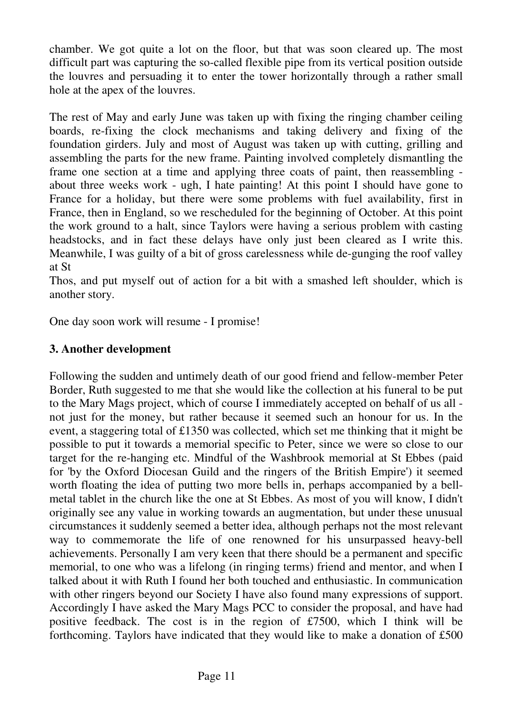chamber. We got quite a lot on the floor, but that was soon cleared up. The most difficult part was capturing the so-called flexible pipe from its vertical position outside the louvres and persuading it to enter the tower horizontally through a rather small hole at the apex of the louvres.

The rest of May and early June was taken up with fixing the ringing chamber ceiling boards, re-fixing the clock mechanisms and taking delivery and fixing of the foundation girders. July and most of August was taken up with cutting, grilling and assembling the parts for the new frame. Painting involved completely dismantling the frame one section at a time and applying three coats of paint, then reassembling about three weeks work - ugh, I hate painting! At this point I should have gone to France for a holiday, but there were some problems with fuel availability, first in France, then in England, so we rescheduled for the beginning of October. At this point the work ground to a halt, since Taylors were having a serious problem with casting headstocks, and in fact these delays have only just been cleared as I write this. Meanwhile, I was guilty of a bit of gross carelessness while de-gunging the roof valley at St

Thos, and put myself out of action for a bit with a smashed left shoulder, which is another story.

One day soon work will resume - I promise!

# **3. Another development**

Following the sudden and untimely death of our good friend and fellow-member Peter Border, Ruth suggested to me that she would like the collection at his funeral to be put to the Mary Mags project, which of course I immediately accepted on behalf of us all not just for the money, but rather because it seemed such an honour for us. In the event, a staggering total of £1350 was collected, which set me thinking that it might be possible to put it towards a memorial specific to Peter, since we were so close to our target for the re-hanging etc. Mindful of the Washbrook memorial at St Ebbes (paid for 'by the Oxford Diocesan Guild and the ringers of the British Empire') it seemed worth floating the idea of putting two more bells in, perhaps accompanied by a bellmetal tablet in the church like the one at St Ebbes. As most of you will know, I didn't originally see any value in working towards an augmentation, but under these unusual circumstances it suddenly seemed a better idea, although perhaps not the most relevant way to commemorate the life of one renowned for his unsurpassed heavy-bell achievements. Personally I am very keen that there should be a permanent and specific memorial, to one who was a lifelong (in ringing terms) friend and mentor, and when I talked about it with Ruth I found her both touched and enthusiastic. In communication with other ringers beyond our Society I have also found many expressions of support. Accordingly I have asked the Mary Mags PCC to consider the proposal, and have had positive feedback. The cost is in the region of £7500, which I think will be forthcoming. Taylors have indicated that they would like to make a donation of £500